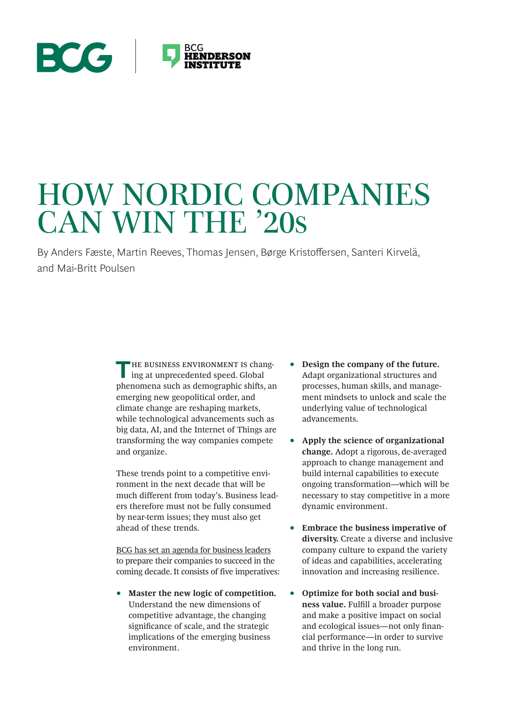# **ECG BCG HENDERSON**

# HOW NORDIC COMPANIES CAN WIN THE '20s

By Anders Fæste, Martin Reeves, Thomas Jensen, Børge Kristoffersen, Santeri Kirvelä, and Mai-Britt Poulsen

> **THE BUSINESS ENVIRONMENT IS chang**ing at unprecedented speed. Global phenomena such as demographic shifts, an emerging new geopolitical order, and climate change are reshaping markets, while technological advancements such as big data, AI, and the Internet of Things are transforming the way companies compete and organize.

These trends point to a competitive environment in the next decade that will be much different from today's. Business leaders therefore must not be fully consumed by near-term issues; they must also get ahead of these trends.

BCG has set an agenda for business leaders to prepare their companies to succeed in the coming decade. It consists of five imperatives:

• **Master the new logic of competition.** Understand the new dimensions of competitive advantage, the changing significance of scale, and the strategic implications of the emerging business environment.

- **Design the company of the future.** Adapt organizational structures and processes, human skills, and management mindsets to unlock and scale the underlying value of technological advancements.
- **Apply the science of organizational change.** Adopt a rigorous, de-averaged approach to change management and build internal capabilities to execute ongoing transformation—which will be necessary to stay competitive in a more dynamic environment.
- **Embrace the business imperative of diversity.** Create a diverse and inclusive company culture to expand the variety of ideas and capabilities, accelerating innovation and increasing resilience.
- **Optimize for both social and business value.** Fulfill a broader purpose and make a positive impact on social and ecological issues—not only financial performance—in order to survive and thrive in the long run.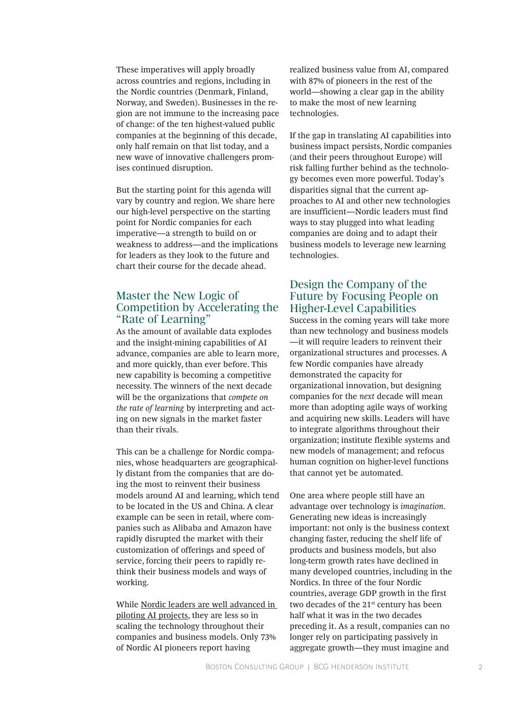These imperatives will apply broadly across countries and regions, including in the Nordic countries (Denmark, Finland, Norway, and Sweden). Businesses in the region are not immune to the increasing pace of change: of the ten highest-valued public companies at the beginning of this decade, only half remain on that list today, and a new wave of innovative challengers promises continued disruption.

But the starting point for this agenda will vary by country and region. We share here our high-level perspective on the starting point for Nordic companies for each imperative—a strength to build on or weakness to address—and the implications for leaders as they look to the future and chart their course for the decade ahead.

### Master the New Logic of Competition by Accelerating the "Rate of Learning"

As the amount of available data explodes and the insight-mining capabilities of AI advance, companies are able to learn more, and more quickly, than ever before. This new capability is becoming a competitive necessity. The winners of the next decade will be the organizations that *compete on the rate of learning* by interpreting and acting on new signals in the market faster than their rivals.

This can be a challenge for Nordic companies, whose headquarters are geographically distant from the companies that are doing the most to reinvent their business models around AI and learning, which tend to be located in the US and China. A clear example can be seen in retail, where companies such as Alibaba and Amazon have rapidly disrupted the market with their customization of offerings and speed of service, forcing their peers to rapidly rethink their business models and ways of working.

While Nordic leaders are well advanced in piloting AI projects, they are less so in scaling the technology throughout their companies and business models. Only 73% of Nordic AI pioneers report having

realized business value from AI, compared with 87% of pioneers in the rest of the world—showing a clear gap in the ability to make the most of new learning technologies.

If the gap in translating AI capabilities into business impact persists, Nordic companies (and their peers throughout Europe) will risk falling further behind as the technology becomes even more powerful. Today's disparities signal that the current approaches to AI and other new technologies are insufficient—Nordic leaders must find ways to stay plugged into what leading companies are doing and to adapt their business models to leverage new learning technologies.

### Design the Company of the Future by Focusing People on Higher-Level Capabilities

Success in the coming years will take more than new technology and business models —it will require leaders to reinvent their organizational structures and processes. A few Nordic companies have already demonstrated the capacity for organizational innovation, but designing companies for the *next* decade will mean more than adopting agile ways of working and acquiring new skills. Leaders will have to integrate algorithms throughout their organization; institute flexible systems and new models of management; and refocus human cognition on higher-level functions that cannot yet be automated.

One area where people still have an advantage over technology is *imagination*. Generating new ideas is increasingly important: not only is the business context changing faster, reducing the shelf life of products and business models, but also long-term growth rates have declined in many developed countries, including in the Nordics. In three of the four Nordic countries, average GDP growth in the first two decades of the 21st century has been half what it was in the two decades preceding it. As a result, companies can no longer rely on participating passively in aggregate growth—they must imagine and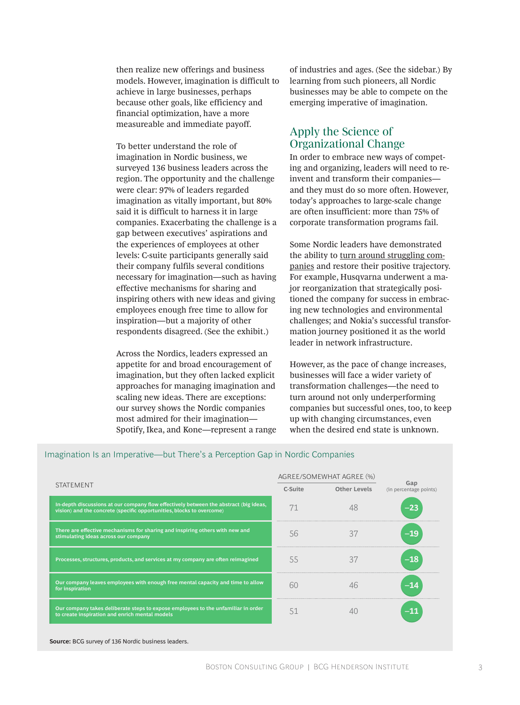then realize new offerings and business models. However, imagination is difficult to achieve in large businesses, perhaps because other goals, like efficiency and financial optimization, have a more measureable and immediate payoff.

To better understand the role of imagination in Nordic business, we surveyed 136 business leaders across the region. The opportunity and the challenge were clear: 97% of leaders regarded imagination as vitally important, but 80% said it is difficult to harness it in large companies. Exacerbating the challenge is a gap between executives' aspirations and the experiences of employees at other levels: C-suite participants generally said their company fulfils several conditions necessary for imagination—such as having effective mechanisms for sharing and inspiring others with new ideas and giving employees enough free time to allow for inspiration—but a majority of other respondents disagreed. (See the exhibit.)

Across the Nordics, leaders expressed an appetite for and broad encouragement of imagination, but they often lacked explicit approaches for managing imagination and scaling new ideas. There are exceptions: our survey shows the Nordic companies most admired for their imagination— Spotify, Ikea, and Kone—represent a range of industries and ages. (See the sidebar.) By learning from such pioneers, all Nordic businesses may be able to compete on the emerging imperative of imagination.

### Apply the Science of Organizational Change

In order to embrace new ways of competing and organizing, leaders will need to reinvent and transform their companies and they must do so more often. However, today's approaches to large-scale change are often insufficient: more than 75% of corporate transformation programs fail.

Some Nordic leaders have demonstrated the ability to turn around struggling companies and restore their positive trajectory. For example, Husqvarna underwent a major reorganization that strategically positioned the company for success in embracing new technologies and environmental challenges; and Nokia's successful transformation journey positioned it as the world leader in network infrastructure.

However, as the pace of change increases, businesses will face a wider variety of transformation challenges—the need to turn around not only underperforming companies but successful ones, too, to keep up with changing circumstances, even when the desired end state is unknown.

| <b>STATEMENT</b>                                                                                                                                               | AGREE/SOMEWHAT AGREE (%) |              |                               |
|----------------------------------------------------------------------------------------------------------------------------------------------------------------|--------------------------|--------------|-------------------------------|
|                                                                                                                                                                | C-Suite                  | Other Levels | Gap<br>(in percentage points) |
| In-depth discussions at our company flow effectively between the abstract (big ideas,<br>vision) and the concrete (specific opportunities, blocks to overcome) |                          | 48           | -23                           |
| There are effective mechanisms for sharing and inspiring others with new and<br>stimulating ideas across our company                                           | 56                       | 37           |                               |
| Processes, structures, products, and services at my company are often reimagined                                                                               | 55                       | 37           |                               |
| Our company leaves employees with enough free mental capacity and time to allow<br>for inspiration                                                             | 60                       | 46           |                               |
| Our company takes deliberate steps to expose employees to the unfamiliar in order<br>to create inspiration and enrich mental models                            | 51                       |              |                               |

### Imagination Is an Imperative—but There's a Perception Gap in Nordic Companies

**Source:** BCG survey of 136 Nordic business leaders.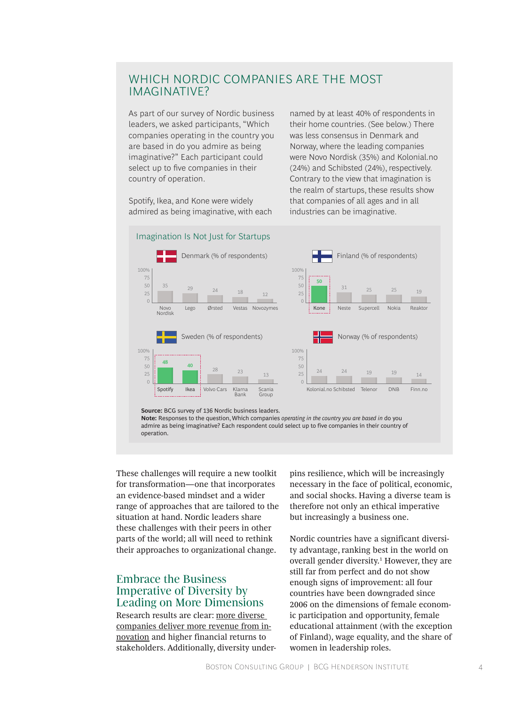# WHICH NORDIC COMPANIES ARE THE MOST IMAGINATIVE?

As part of our survey of Nordic business leaders, we asked participants, "Which companies operating in the country you are based in do you admire as being imaginative?" Each participant could select up to five companies in their country of operation.

Spotify, Ikea, and Kone were widely admired as being imaginative, with each named by at least 40% of respondents in their home countries. (See below.) There was less consensus in Denmark and Norway, where the leading companies were Novo Nordisk (35%) and Kolonial.no (24%) and Schibsted (24%), respectively. Contrary to the view that imagination is the realm of startups, these results show that companies of all ages and in all industries can be imaginative.

#### **40** 28 23 13 100% 50 25 75 Klarna Bank Sweden (% of respondents) Spotify Ikea Volvo Cars Klarna Scania **Group 48**  $\frac{24}{19}$  19 19 14 100% 50 0  $25$ 75 Kolonial.no Schibsted Telenor DNB Finn.no Norway (% of respondents) 24  $\begin{array}{|c|c|c|c|c|}\n\hline\n25 & 29 & 24 & 18 & 12\n\end{array}$ 50  $\overline{0}$ 75 100% Lego Ørsted Vestas Novozymes Denmark (% of respondents) Novo Nordisk  $\frac{35}{50}$  **50**  $31$  25 25 19 0 75  $25$ 50 100% Finland (% of respondents) Kone Neste Supercell Nokia Reaktor **Source:** BCG survey of 136 Nordic business leaders. **Note:** Responses to the question, Which companies *operating in the country you are based in* do you admire as being imaginative? Each respondent could select up to five companies in their country of operation. Imagination Is Not Just for Startups

These challenges will require a new toolkit for transformation—one that incorporates an evidence-based mindset and a wider range of approaches that are tailored to the situation at hand. Nordic leaders share these challenges with their peers in other parts of the world; all will need to rethink their approaches to organizational change.

# Embrace the Business Imperative of Diversity by Leading on More Dimensions

Research results are clear: more diverse companies deliver more revenue from innovation and higher financial returns to stakeholders. Additionally, diversity underpins resilience, which will be increasingly necessary in the face of political, economic, and social shocks. Having a diverse team is therefore not only an ethical imperative but increasingly a business one.

Nordic countries have a significant diversity advantage, ranking best in the world on overall gender diversity.<sup>1</sup> However, they are still far from perfect and do not show enough signs of improvement: all four countries have been downgraded since 2006 on the dimensions of female economic participation and opportunity, female educational attainment (with the exception of Finland), wage equality, and the share of women in leadership roles.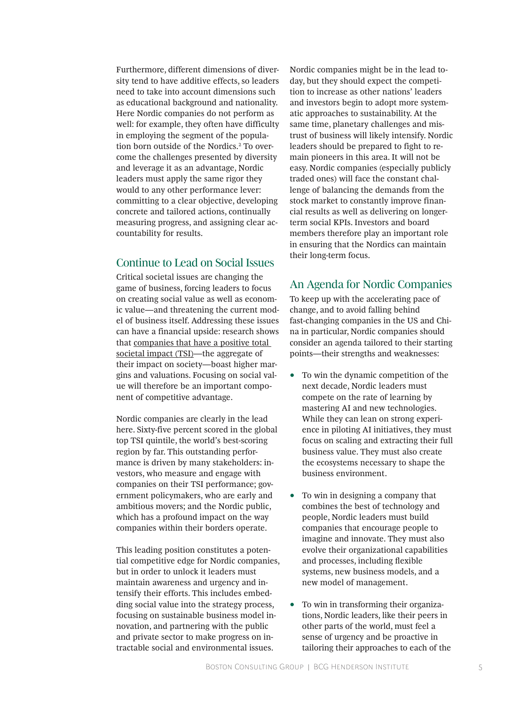Furthermore, different dimensions of diversity tend to have additive effects, so leaders need to take into account dimensions such as educational background and nationality. Here Nordic companies do not perform as well: for example, they often have difficulty in employing the segment of the population born outside of the Nordics.<sup>2</sup> To overcome the challenges presented by diversity and leverage it as an advantage, Nordic leaders must apply the same rigor they would to any other performance lever: committing to a clear objective, developing concrete and tailored actions, continually measuring progress, and assigning clear accountability for results.

### Continue to Lead on Social Issues

Critical societal issues are changing the game of business, forcing leaders to focus on creating social value as well as economic value—and threatening the current model of business itself. Addressing these issues can have a financial upside: research shows that companies that have a positive total societal impact (TSI)—the aggregate of their impact on society—boast higher margins and valuations. Focusing on social value will therefore be an important component of competitive advantage.

Nordic companies are clearly in the lead here. Sixty-five percent scored in the global top TSI quintile, the world's best-scoring region by far. This outstanding performance is driven by many stakeholders: investors, who measure and engage with companies on their TSI performance; government policymakers, who are early and ambitious movers; and the Nordic public, which has a profound impact on the way companies within their borders operate.

This leading position constitutes a potential competitive edge for Nordic companies, but in order to unlock it leaders must maintain awareness and urgency and intensify their efforts. This includes embedding social value into the strategy process, focusing on sustainable business model innovation, and partnering with the public and private sector to make progress on intractable social and environmental issues.

Nordic companies might be in the lead today, but they should expect the competition to increase as other nations' leaders and investors begin to adopt more systematic approaches to sustainability. At the same time, planetary challenges and mistrust of business will likely intensify. Nordic leaders should be prepared to fight to remain pioneers in this area. It will not be easy. Nordic companies (especially publicly traded ones) will face the constant challenge of balancing the demands from the stock market to constantly improve financial results as well as delivering on longerterm social KPIs. Investors and board members therefore play an important role in ensuring that the Nordics can maintain their long-term focus.

### An Agenda for Nordic Companies

To keep up with the accelerating pace of change, and to avoid falling behind fast-changing companies in the US and China in particular, Nordic companies should consider an agenda tailored to their starting points—their strengths and weaknesses:

- To win the dynamic competition of the next decade, Nordic leaders must compete on the rate of learning by mastering AI and new technologies. While they can lean on strong experience in piloting AI initiatives, they must focus on scaling and extracting their full business value. They must also create the ecosystems necessary to shape the business environment.
- To win in designing a company that combines the best of technology and people, Nordic leaders must build companies that encourage people to imagine and innovate. They must also evolve their organizational capabilities and processes, including flexible systems, new business models, and a new model of management.
- To win in transforming their organizations, Nordic leaders, like their peers in other parts of the world, must feel a sense of urgency and be proactive in tailoring their approaches to each of the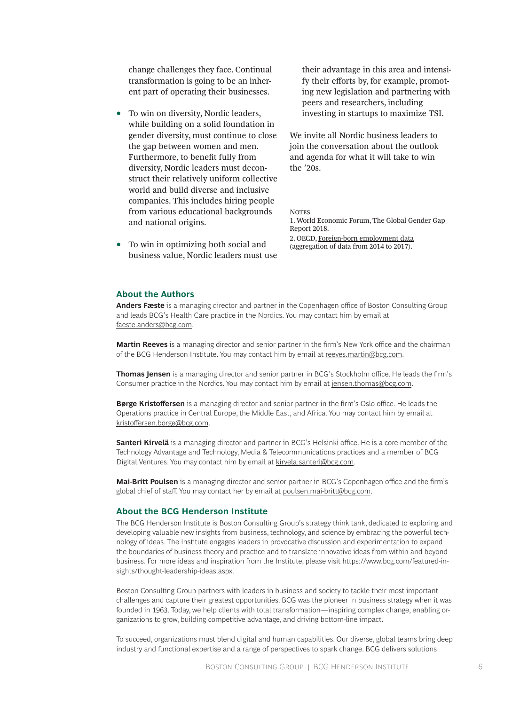change challenges they face. Continual transformation is going to be an inherent part of operating their businesses.

- To win on diversity, Nordic leaders, while building on a solid foundation in gender diversity, must continue to close the gap between women and men. Furthermore, to benefit fully from diversity, Nordic leaders must deconstruct their relatively uniform collective world and build diverse and inclusive companies. This includes hiring people from various educational backgrounds and national origins.
- To win in optimizing both social and business value, Nordic leaders must use

their advantage in this area and intensify their efforts by, for example, promoting new legislation and partnering with peers and researchers, including investing in startups to maximize TSI.

We invite all Nordic business leaders to join the conversation about the outlook and agenda for what it will take to win the '20s.

**NOTES** 

1. World Economic Forum, The Global Gender Gap Report 2018. 2. OECD, Foreign-born employment data (aggregation of data from 2014 to 2017).

### **About the Authors**

**Anders Fæste** is a managing director and partner in the Copenhagen office of Boston Consulting Group and leads BCG's Health Care practice in the Nordics. You may contact him by email at faeste.anders@bcg.com.

**Martin Reeves** is a managing director and senior partner in the firm's New York office and the chairman of the BCG Henderson Institute. You may contact him by email at reeves.martin@bcg.com.

**Thomas Jensen** is a managing director and senior partner in BCG's Stockholm office. He leads the firm's Consumer practice in the Nordics. You may contact him by email at jensen.thomas@bcg.com.

**Børge Kristoffersen** is a managing director and senior partner in the firm's Oslo office. He leads the Operations practice in Central Europe, the Middle East, and Africa. You may contact him by email at kristoffersen.borge@bcg.com.

**Santeri Kirvelä** is a managing director and partner in BCG's Helsinki office. He is a core member of the Technology Advantage and Technology, Media & Telecommunications practices and a member of BCG Digital Ventures. You may contact him by email at kirvela.santeri@bcg.com.

**Mai-Britt Poulsen** is a managing director and senior partner in BCG's Copenhagen office and the firm's global chief of staff. You may contact her by email at poulsen.mai-britt@bcg.com.

### **About the BCG Henderson Institute**

The BCG Henderson Institute is Boston Consulting Group's strategy think tank, dedicated to exploring and developing valuable new insights from business, technology, and science by embracing the powerful technology of ideas. The Institute engages leaders in provocative discussion and experimentation to expand the boundaries of business theory and practice and to translate innovative ideas from within and beyond business. For more ideas and inspiration from the Institute, please visit https://www.bcg.com/featured-insights/thought-leadership-ideas.aspx.

Boston Consulting Group partners with leaders in business and society to tackle their most important challenges and capture their greatest opportunities. BCG was the pioneer in business strategy when it was founded in 1963. Today, we help clients with total transformation—inspiring complex change, enabling organizations to grow, building competitive advantage, and driving bottom-line impact.

To succeed, organizations must blend digital and human capabilities. Our diverse, global teams bring deep industry and functional expertise and a range of perspectives to spark change. BCG delivers solutions